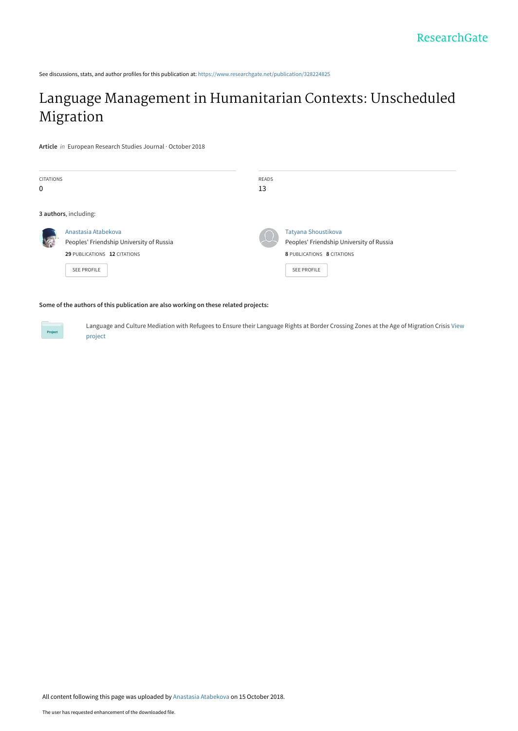See discussions, stats, and author profiles for this publication at: [https://www.researchgate.net/publication/328224825](https://www.researchgate.net/publication/328224825_Language_Management_in_Humanitarian_Contexts_Unscheduled_Migration?enrichId=rgreq-4140d8987fac9c61ac9ccaac0b70ec80-XXX&enrichSource=Y292ZXJQYWdlOzMyODIyNDgyNTtBUzo2ODE4ODIyNDA5NTQzNzFAMTUzOTU4NDgwMzU0NA%3D%3D&el=1_x_2&_esc=publicationCoverPdf)

# [Language Management in Humanitarian Contexts: Unscheduled](https://www.researchgate.net/publication/328224825_Language_Management_in_Humanitarian_Contexts_Unscheduled_Migration?enrichId=rgreq-4140d8987fac9c61ac9ccaac0b70ec80-XXX&enrichSource=Y292ZXJQYWdlOzMyODIyNDgyNTtBUzo2ODE4ODIyNDA5NTQzNzFAMTUzOTU4NDgwMzU0NA%3D%3D&el=1_x_3&_esc=publicationCoverPdf) Migration

**Article** in European Research Studies Journal · October 2018

| <b>CITATIONS</b><br>$\Omega$ |                                                                                                                       | <b>READS</b><br>13 |                                                                                                                     |  |
|------------------------------|-----------------------------------------------------------------------------------------------------------------------|--------------------|---------------------------------------------------------------------------------------------------------------------|--|
|                              | 3 authors, including:                                                                                                 |                    |                                                                                                                     |  |
|                              | Anastasia Atabekova<br>Peoples' Friendship University of Russia<br>29 PUBLICATIONS 12 CITATIONS<br><b>SEE PROFILE</b> |                    | Tatyana Shoustikova<br>Peoples' Friendship University of Russia<br>8 PUBLICATIONS 8 CITATIONS<br><b>SEE PROFILE</b> |  |

#### **Some of the authors of this publication are also working on these related projects:**

[Language and Culture Mediation with Refugees to Ensure their Language Rights at Border Crossing Zones at the Age of Migration Crisis](https://www.researchgate.net/project/Language-and-Culture-Mediation-with-Refugees-to-Ensure-their-Language-Rights-at-Border-Crossing-Zones-at-the-Age-of-Migration-Crisis?enrichId=rgreq-4140d8987fac9c61ac9ccaac0b70ec80-XXX&enrichSource=Y292ZXJQYWdlOzMyODIyNDgyNTtBUzo2ODE4ODIyNDA5NTQzNzFAMTUzOTU4NDgwMzU0NA%3D%3D&el=1_x_9&_esc=publicationCoverPdf) View project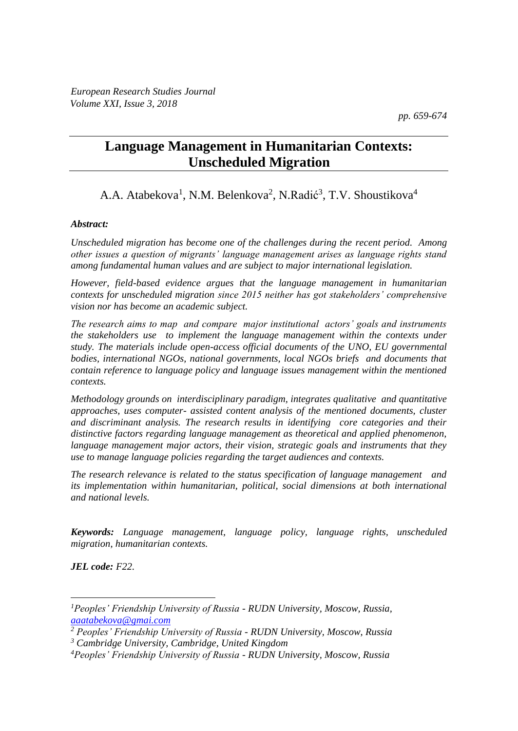*pp. 659-674*

## **Language Management in Humanitarian Contexts: Unscheduled Migration**

### A.A. Atabekova<sup>1</sup>, N.M. Belenkova<sup>2</sup>, N.Radić<sup>3</sup>, T.V. Shoustikova<sup>4</sup>

#### *Abstract:*

*Unscheduled migration has become one of the challenges during the recent period. Among other issues a question of migrants' language management arises as language rights stand among fundamental human values and are subject to major international legislation.* 

*However, field-based evidence argues that the language management in humanitarian contexts for unscheduled migration since 2015 neither has got stakeholders' comprehensive vision nor has become an academic subject.* 

*The research aims to map and compare major institutional actors' goals and instruments the stakeholders use to implement the language management within the contexts under study. The materials include open-access official documents of the UNO, EU governmental bodies, international NGOs, national governments, local NGOs briefs and documents that contain reference to language policy and language issues management within the mentioned contexts.* 

*Methodology grounds on interdisciplinary paradigm, integrates qualitative and quantitative approaches, uses computer- assisted content analysis of the mentioned documents, cluster and discriminant analysis. The research results in identifying core categories and their distinctive factors regarding language management as theoretical and applied phenomenon, language management major actors, their vision, strategic goals and instruments that they use to manage language policies regarding the target audiences and contexts.*

*The research relevance is related to the status specification of language management and its implementation within humanitarian, political, social dimensions at both international and national levels.* 

*Keywords: Language management, language policy, language rights, unscheduled migration, humanitarian contexts.*

*JEL code: F22.*

 $\overline{a}$ 

*<sup>1</sup>Peoples' Friendship University of Russia - RUDN University, Moscow, Russia, [aaatabekova@gmai.com](mailto:aaatabekova@gmai.com)*

*<sup>2</sup> Peoples' Friendship University of Russia - RUDN University, Moscow, Russia <sup>3</sup> Cambridge University, Cambridge, United Kingdom*

*<sup>4</sup>Peoples' Friendship University of Russia - RUDN University, Moscow, Russia*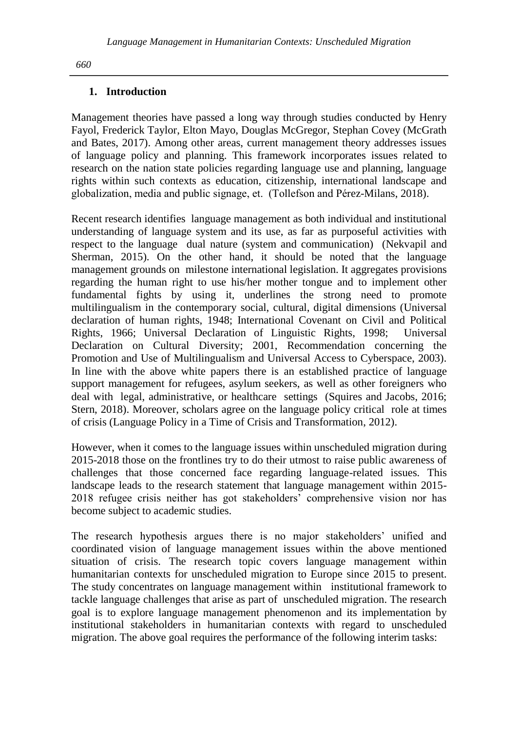#### **1. Introduction**

Management theories have passed a long way through studies conducted by Henry Fayol, Frederick Taylor, Elton Mayo, Douglas McGregor, Stephan Covey (McGrath and Bates, 2017). Among other areas, current management theory addresses issues of language policy and planning. This framework incorporates issues related to research on the nation state policies regarding language use and planning, language rights within such contexts as education, citizenship, international landscape and globalization, media and public signage, et. (Tollefson and Pérez-Milans, 2018).

Recent research identifies language management as both individual and institutional understanding of language system and its use, as far as purposeful activities with respect to the language dual nature (system and communication) (Nekvapil and Sherman, 2015). On the other hand, it should be noted that the language management grounds on milestone international legislation. It aggregates provisions regarding the human right to use his/her mother tongue and to implement other fundamental fights by using it, underlines the strong need to promote multilingualism in the contemporary social, cultural, digital dimensions (Universal declaration of human rights, 1948; International Covenant on Civil and Political Rights, 1966; Universal Declaration of Linguistic Rights, 1998; Universal Declaration on Cultural Diversity; 2001, Recommendation concerning the Promotion and Use of Multilingualism and Universal Access to Cyberspace, 2003). In line with the above white papers there is an established practice of language support management for refugees, asylum seekers, as well as other foreigners who deal with legal, administrative, or healthcare settings (Squires and Jacobs, 2016; Stern, 2018). Moreover, scholars agree on the language policy critical role at times of crisis (Language Policy in a Time of Crisis and Transformation, 2012).

However, when it comes to the language issues within unscheduled migration during 2015-2018 those on the frontlines try to do their utmost to raise public awareness of challenges that those concerned face regarding language-related issues. This landscape leads to the research statement that language management within 2015- 2018 refugee crisis neither has got stakeholders' comprehensive vision nor has become subject to academic studies.

The research hypothesis argues there is no major stakeholders' unified and coordinated vision of language management issues within the above mentioned situation of crisis. The research topic covers language management within humanitarian contexts for unscheduled migration to Europe since 2015 to present. The study concentrates on language management within institutional framework to tackle language challenges that arise as part of unscheduled migration. The research goal is to explore language management phenomenon and its implementation by institutional stakeholders in humanitarian contexts with regard to unscheduled migration. The above goal requires the performance of the following interim tasks: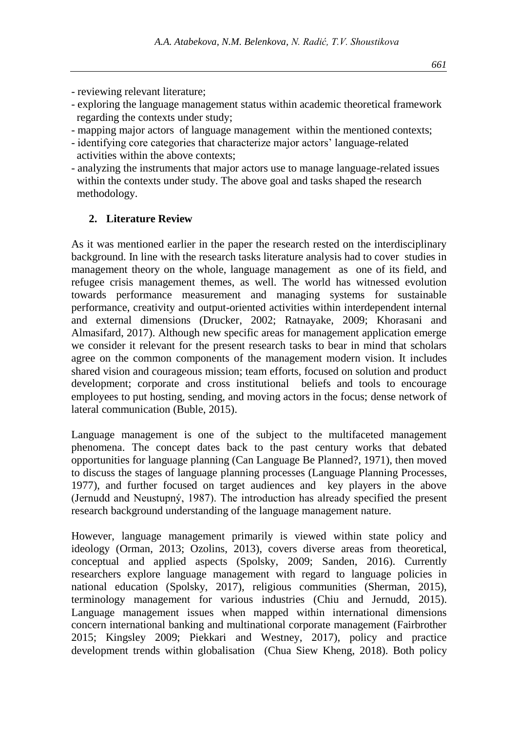- reviewing relevant literature;
- exploring the language management status within academic theoretical framework regarding the contexts under study;
- mapping major actors of language management within the mentioned contexts;
- identifying core categories that characterize major actors' language-related activities within the above contexts;
- analyzing the instruments that major actors use to manage language-related issues within the contexts under study. The above goal and tasks shaped the research methodology.

#### **2. Literature Review**

As it was mentioned earlier in the paper the research rested on the interdisciplinary background. In line with the research tasks literature analysis had to cover studies in management theory on the whole, language management as one of its field, and refugee crisis management themes, as well. The world has witnessed evolution towards performance measurement and managing systems for sustainable performance, creativity and output-oriented activities within interdependent internal and external dimensions (Drucker, 2002; Ratnayake, 2009; Khorasani and Almasifard, 2017). Although new specific areas for management application emerge we consider it relevant for the present research tasks to bear in mind that scholars agree on the common components of the management modern vision. It includes shared vision and courageous mission; team efforts, focused on solution and product development; corporate and cross institutional beliefs and tools to encourage employees to put hosting, sending, and moving actors in the focus; dense network of lateral communication (Buble, 2015).

Language management is one of the subject to the multifaceted management phenomena. The concept dates back to the past century works that debated opportunities for language planning (Can Language Be Planned?, 1971), then moved to discuss the stages of language planning processes (Language Planning Processes, 1977), and further focused on target audiences and key players in the above (Jernudd and Neustupný, 1987). The introduction has already specified the present research background understanding of the language management nature.

However, language management primarily is viewed within state policy and ideology (Orman, 2013; Ozolins, 2013), covers diverse areas from theoretical, conceptual and applied aspects (Spolsky, 2009; Sanden, 2016). Currently researchers explore language management with regard to language policies in national education (Spolsky, 2017), religious communities (Sherman, 2015), terminology management for various industries (Chiu and Jernudd, 2015). Language management issues when mapped within international dimensions concern international banking and multinational corporate management (Fairbrother 2015; Kingsley 2009; Piekkari and Westney, 2017), policy and practice development trends within globalisation (Chua Siew Kheng, 2018). Both policy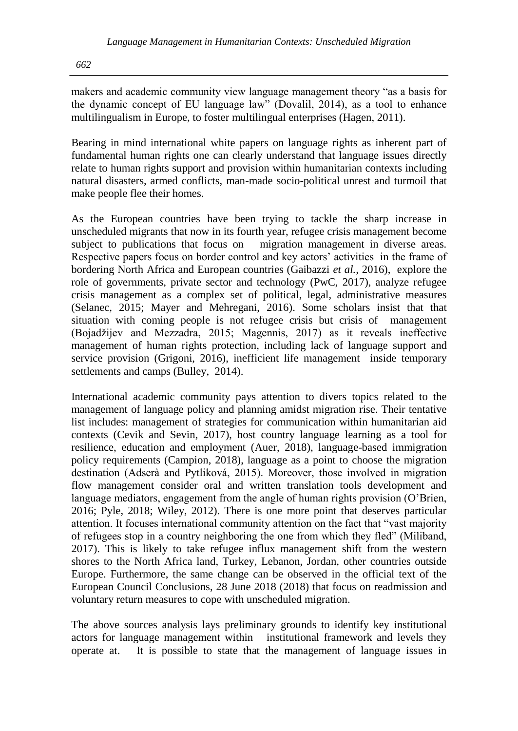makers and academic community view language management theory "as a basis for the dynamic concept of EU language law" (Dovalil, 2014), as a tool to enhance multilingualism in Europe, to foster multilingual enterprises (Hagen, 2011).

Bearing in mind international white papers on language rights as inherent part of fundamental human rights one can clearly understand that language issues directly relate to human rights support and provision within humanitarian contexts including natural disasters, armed conflicts, man-made socio-political unrest and turmoil that make people flee their homes.

As the European countries have been trying to tackle the sharp increase in unscheduled migrants that now in its fourth year, refugee crisis management become subject to publications that focus on migration management in diverse areas. Respective papers focus on border control and key actors' activities in the frame of bordering North Africa and European countries (Gaibazzi *et al.,* 2016), explore the role of governments, private sector and technology (PwC, 2017), analyze refugee crisis management as a complex set of political, legal, administrative measures (Selanec, 2015; Mayer and Mehregani, 2016). Some scholars insist that that situation with coming people is not refugee crisis but crisis of management (Bojadžijev and Mezzadra, 2015; Magennis, 2017) as it reveals ineffective management of human rights protection, including lack of language support and service provision (Grigoni, 2016), inefficient life management inside temporary settlements and camps (Bulley, 2014).

International academic community pays attention to divers topics related to the management of language policy and planning amidst migration rise. Their tentative list includes: management of strategies for communication within humanitarian aid contexts (Cevik and Sevin, 2017), host country language learning as a tool for resilience, education and employment (Auer, 2018), language-based immigration policy requirements (Campion, 2018), language as a point to choose the migration destination (Adserà and Pytliková, 2015). Moreover, those involved in migration flow management consider oral and written translation tools development and language mediators, engagement from the angle of human rights provision (O'Brien, 2016; Pyle, 2018; Wiley, 2012). There is one more point that deserves particular attention. It focuses international community attention on the fact that "vast majority of refugees stop in a country neighboring the one from which they fled" (Miliband, 2017). This is likely to take refugee influx management shift from the western shores to the North Africa land, Turkey, Lebanon, Jordan, other countries outside Europe. Furthermore, the same change can be observed in the official text of the European Council Conclusions, 28 June 2018 (2018) that focus on readmission and voluntary return measures to cope with unscheduled migration.

The above sources analysis lays preliminary grounds to identify key institutional actors for language management within institutional framework and levels they operate at. It is possible to state that the management of language issues in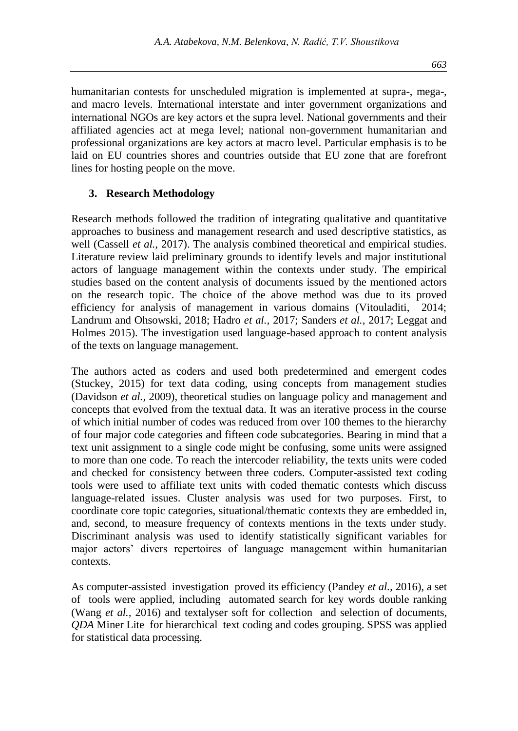humanitarian contests for unscheduled migration is implemented at supra-, mega-, and macro levels. International interstate and inter government organizations and international NGOs are key actors et the supra level. National governments and their affiliated agencies act at mega level; national non-government humanitarian and professional organizations are key actors at macro level. Particular emphasis is to be laid on EU countries shores and countries outside that EU zone that are forefront lines for hosting people on the move.

#### **3. Research Methodology**

Research methods followed the tradition of integrating qualitative and quantitative approaches to business and management research and used descriptive statistics, as well (Cassell *et al.,* 2017). The analysis combined theoretical and empirical studies. Literature review laid preliminary grounds to identify levels and major institutional actors of language management within the contexts under study. The empirical studies based on the content analysis of documents issued by the mentioned actors on the research topic. The choice of the above method was due to its proved efficiency for analysis of management in various domains (Vitouladiti, 2014; Landrum and Ohsowski, 2018; Hadro *et al.,* 2017; Sanders *et al.,* 2017; Leggat and Holmes 2015). The investigation used language-based approach to content analysis of the texts on language management.

The authors acted as coders and used both predetermined and emergent codes (Stuckey, 2015) for text data coding, using concepts from management studies (Davidson *et al.,* 2009), theoretical studies on language policy and management and concepts that evolved from the textual data. It was an iterative process in the course of which initial number of codes was reduced from over 100 themes to the hierarchy of four major code categories and fifteen code subcategories. Bearing in mind that a text unit assignment to a single code might be confusing, some units were assigned to more than one code. To reach the intercoder reliability, the texts units were coded and checked for consistency between three coders. Computer-assisted text coding tools were used to affiliate text units with coded thematic contests which discuss language-related issues. Cluster analysis was used for two purposes. First, to coordinate core topic categories, situational/thematic contexts they are embedded in, and, second, to measure frequency of contexts mentions in the texts under study. Discriminant analysis was used to identify statistically significant variables for major actors' divers repertoires of language management within humanitarian contexts.

As computer-assisted investigation proved its efficiency (Pandey *et al.,* 2016), a set of tools were applied, including automated search for key words double ranking (Wang *et al.,* 2016) and textalyser soft for collection and selection of documents*, QDA* Miner Litefor hierarchical text coding and codes grouping. SPSS was applied for statistical data processing.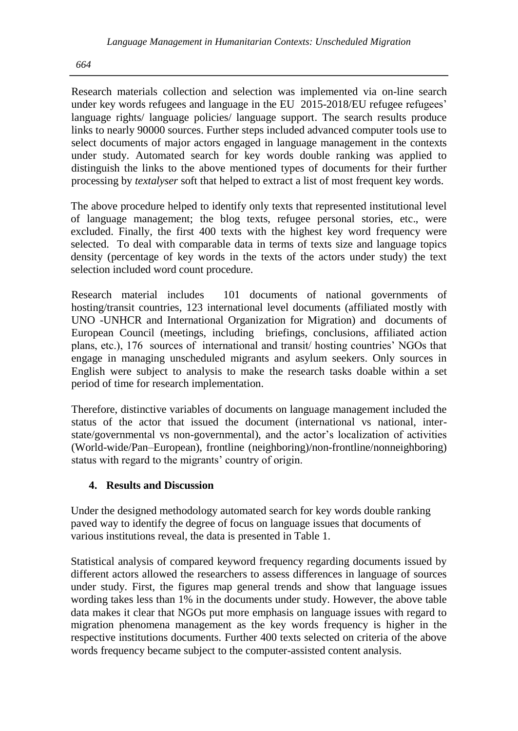Research materials collection and selection was implemented via on-line search under key words refugees and language in the EU 2015-2018/EU refugee refugees' language rights/ language policies/ language support. The search results produce links to nearly 90000 sources. Further steps included advanced computer tools use to select documents of major actors engaged in language management in the contexts under study. Automated search for key words double ranking was applied to distinguish the links to the above mentioned types of documents for their further processing by *textalyser* soft that helped to extract a list of most frequent key words.

The above procedure helped to identify only texts that represented institutional level of language management; the blog texts, refugee personal stories, etc., were excluded. Finally, the first 400 texts with the highest key word frequency were selected. To deal with comparable data in terms of texts size and language topics density (percentage of key words in the texts of the actors under study) the text selection included word count procedure.

Research material includes 101 documents of national governments of hosting/transit countries, 123 international level documents (affiliated mostly with UNO -UNHCR and International Organization for Migration) and documents of European Council (meetings, including briefings, conclusions, affiliated action plans, etc.), 176 sources of international and transit/ hosting countries' NGOs that engage in managing unscheduled migrants and asylum seekers. Only sources in English were subject to analysis to make the research tasks doable within a set period of time for research implementation.

Therefore, distinctive variables of documents on language management included the status of the actor that issued the document (international vs national, interstate/governmental vs non-governmental), and the actor's localization of activities (World-wide/Pan–European), frontline (neighboring)/non-frontline/nonneighboring) status with regard to the migrants' country of origin.

### **4. Results and Discussion**

Under the designed methodology automated search for key words double ranking paved way to identify the degree of focus on language issues that documents of various institutions reveal, the data is presented in Table 1.

Statistical analysis of compared keyword frequency regarding documents issued by different actors allowed the researchers to assess differences in language of sources under study. First, the figures map general trends and show that language issues wording takes less than 1% in the documents under study. However, the above table data makes it clear that NGOs put more emphasis on language issues with regard to migration phenomena management as the key words frequency is higher in the respective institutions documents. Further 400 texts selected on criteria of the above words frequency became subject to the computer-assisted content analysis.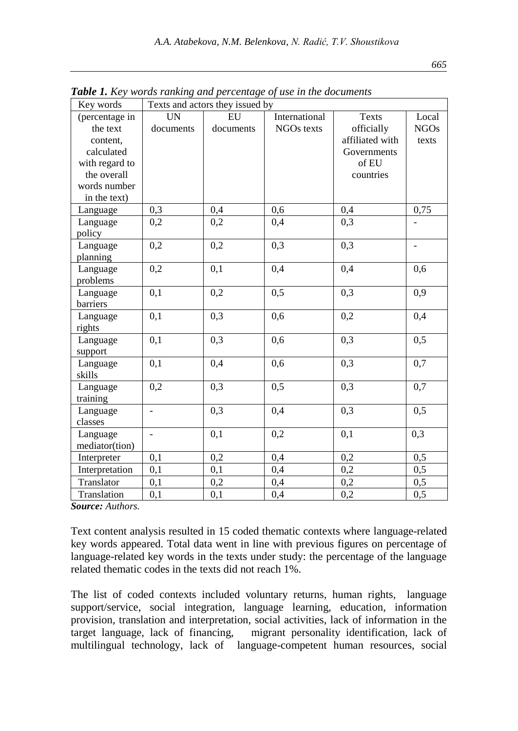| Key words      | Texts and actors they issued by |                  |               |                 |                              |  |
|----------------|---------------------------------|------------------|---------------|-----------------|------------------------------|--|
| (percentage in | <b>UN</b>                       | EU               | International | <b>Texts</b>    | Local                        |  |
| the text       | documents                       | documents        | NGOs texts    | officially      | <b>NGOs</b>                  |  |
| content,       |                                 |                  |               | affiliated with | texts                        |  |
| calculated     |                                 |                  |               | Governments     |                              |  |
| with regard to |                                 |                  |               | of EU           |                              |  |
| the overall    |                                 |                  |               | countries       |                              |  |
| words number   |                                 |                  |               |                 |                              |  |
| in the text)   |                                 |                  |               |                 |                              |  |
| Language       | 0,3                             | 0,4              | 0,6           | 0,4             | 0,75                         |  |
| Language       | 0,2                             | 0,2              | 0,4           | 0,3             |                              |  |
| policy         |                                 |                  |               |                 |                              |  |
| Language       | 0,2                             | 0,2              | 0,3           | 0,3             | $\qquad \qquad \blacksquare$ |  |
| planning       |                                 |                  |               |                 |                              |  |
| Language       | 0,2                             | 0,1              | 0,4           | 0,4             | 0,6                          |  |
| problems       |                                 |                  |               |                 |                              |  |
| Language       | 0,1                             | 0,2              | 0,5           | 0,3             | 0,9                          |  |
| barriers       |                                 |                  |               |                 |                              |  |
| Language       | 0,1                             | $\overline{0,3}$ | 0,6           | 0,2             | 0,4                          |  |
| rights         |                                 |                  |               |                 |                              |  |
| Language       | 0,1                             | 0,3              | 0,6           | 0,3             | 0,5                          |  |
| support        |                                 |                  |               |                 |                              |  |
| Language       | 0,1                             | 0,4              | 0,6           | 0,3             | 0,7                          |  |
| skills         |                                 |                  |               |                 |                              |  |
| Language       | 0,2                             | 0,3              | 0,5           | 0,3             | 0,7                          |  |
| training       |                                 |                  |               |                 |                              |  |
| Language       | $\overline{a}$                  | 0,3              | 0,4           | 0,3             | 0,5                          |  |
| classes        |                                 |                  |               |                 |                              |  |
| Language       | $\overline{a}$                  | 0,1              | 0,2           | 0,1             | 0,3                          |  |
| mediator(tion) |                                 |                  |               |                 |                              |  |
| Interpreter    | 0,1                             | 0,2              | 0,4           | 0,2             | 0,5                          |  |
| Interpretation | 0,1                             | 0,1              | 0,4           | 0,2             | 0,5                          |  |
| Translator     | 0,1                             | 0,2              | 0,4           | 0,2             | 0,5                          |  |
| Translation    | 0,1                             | 0,1              | 0,4           | 0,2             | 0,5                          |  |

*Table 1. Key words ranking and percentage of use in the documents*

*Source: Authors.*

Text content analysis resulted in 15 coded thematic contexts where language-related key words appeared. Total data went in line with previous figures on percentage of language-related key words in the texts under study: the percentage of the language related thematic codes in the texts did not reach 1%.

The list of coded contexts included voluntary returns, human rights, language support/service, social integration, language learning, education, information provision, translation and interpretation, social activities, lack of information in the target language, lack of financing, migrant personality identification, lack of multilingual technology, lack of language-competent human resources, social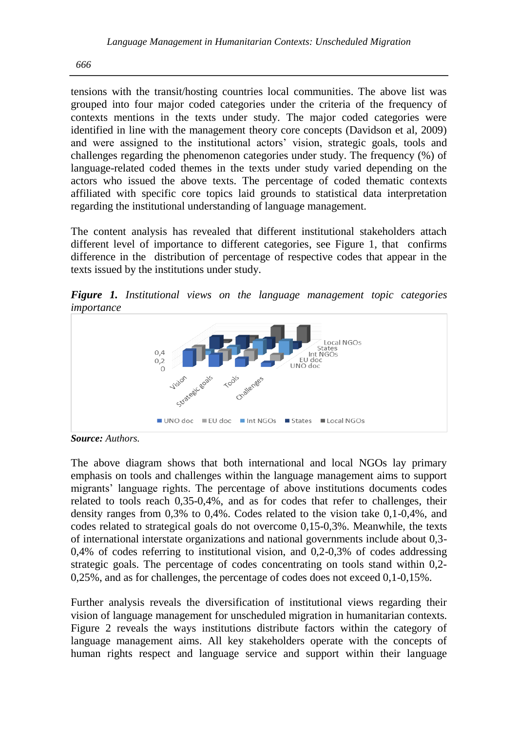tensions with the transit/hosting countries local communities. The above list was grouped into four major coded categories under the criteria of the frequency of contexts mentions in the texts under study. The major coded categories were identified in line with the management theory core concepts (Davidson et al, 2009) and were assigned to the institutional actors' vision, strategic goals, tools and challenges regarding the phenomenon categories under study. The frequency (%) of language-related coded themes in the texts under study varied depending on the actors who issued the above texts. The percentage of coded thematic contexts affiliated with specific core topics laid grounds to statistical data interpretation regarding the institutional understanding of language management.

The content analysis has revealed that different institutional stakeholders attach different level of importance to different categories, see Figure 1, that confirms difference in the distribution of percentage of respective codes that appear in the texts issued by the institutions under study.

*Figure 1. Institutional views on the language management topic categories importance*



*Source: Authors.*

The above diagram shows that both international and local NGOs lay primary emphasis on tools and challenges within the language management aims to support migrants' language rights. The percentage of above institutions documents codes related to tools reach 0,35-0,4%, and as for codes that refer to challenges, their density ranges from 0,3% to 0,4%. Codes related to the vision take 0,1-0,4%, and codes related to strategical goals do not overcome 0,15-0,3%. Meanwhile, the texts of international interstate organizations and national governments include about 0,3- 0,4% of codes referring to institutional vision, and 0,2-0,3% of codes addressing strategic goals. The percentage of codes concentrating on tools stand within 0,2- 0,25%, and as for challenges, the percentage of codes does not exceed 0,1-0,15%.

Further analysis reveals the diversification of institutional views regarding their vision of language management for unscheduled migration in humanitarian contexts. Figure 2 reveals the ways institutions distribute factors within the category of language management aims. All key stakeholders operate with the concepts of human rights respect and language service and support within their language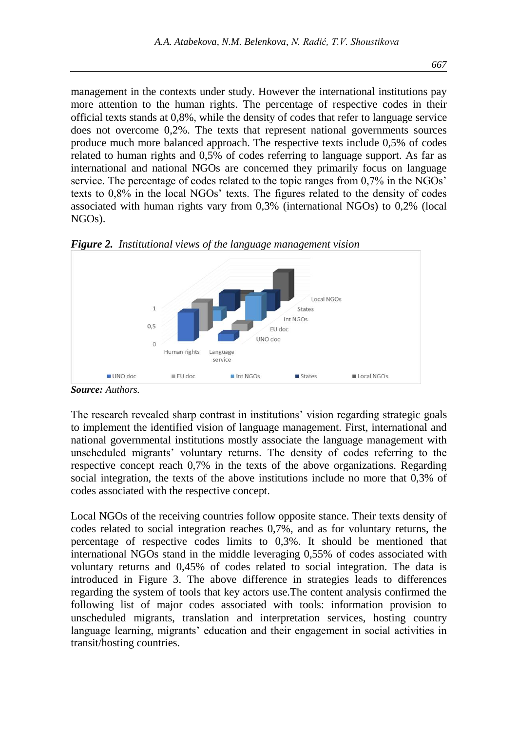management in the contexts under study. However the international institutions pay more attention to the human rights. The percentage of respective codes in their official texts stands at 0,8%, while the density of codes that refer to language service does not overcome 0,2%. The texts that represent national governments sources produce much more balanced approach. The respective texts include 0,5% of codes related to human rights and 0,5% of codes referring to language support. As far as international and national NGOs are concerned they primarily focus on language service. The percentage of codes related to the topic ranges from 0,7% in the NGOs' texts to 0,8% in the local NGOs' texts. The figures related to the density of codes associated with human rights vary from 0,3% (international NGOs) to 0,2% (local NGOs).



*Figure 2. Institutional views of the language management vision* 

The research revealed sharp contrast in institutions' vision regarding strategic goals to implement the identified vision of language management. First, international and national governmental institutions mostly associate the language management with unscheduled migrants' voluntary returns. The density of codes referring to the respective concept reach 0,7% in the texts of the above organizations. Regarding social integration, the texts of the above institutions include no more that 0,3% of codes associated with the respective concept.

Local NGOs of the receiving countries follow opposite stance. Their texts density of codes related to social integration reaches 0,7%, and as for voluntary returns, the percentage of respective codes limits to 0,3%. It should be mentioned that international NGOs stand in the middle leveraging 0,55% of codes associated with voluntary returns and 0,45% of codes related to social integration. The data is introduced in Figure 3. The above difference in strategies leads to differences regarding the system of tools that key actors use.The content analysis confirmed the following list of major codes associated with tools: information provision to unscheduled migrants, translation and interpretation services, hosting country language learning, migrants' education and their engagement in social activities in transit/hosting countries.

*Source: Authors.*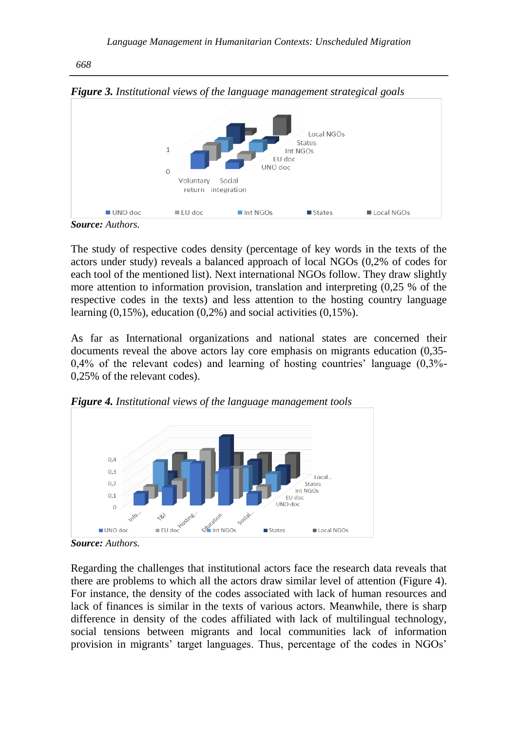

*Source: Authors.*

The study of respective codes density (percentage of key words in the texts of the actors under study) reveals a balanced approach of local NGOs (0,2% of codes for each tool of the mentioned list). Next international NGOs follow. They draw slightly more attention to information provision, translation and interpreting (0,25 % of the respective codes in the texts) and less attention to the hosting country language learning  $(0,15\%)$ , education  $(0,2\%)$  and social activities  $(0,15\%)$ .

As far as International organizations and national states are concerned their documents reveal the above actors lay core emphasis on migrants education (0,35- 0,4% of the relevant codes) and learning of hosting countries' language (0,3%- 0,25% of the relevant codes).



*Figure 4. Institutional views of the language management tools*

Regarding the challenges that institutional actors face the research data reveals that there are problems to which all the actors draw similar level of attention (Figure 4). For instance, the density of the codes associated with lack of human resources and lack of finances is similar in the texts of various actors. Meanwhile, there is sharp difference in density of the codes affiliated with lack of multilingual technology, social tensions between migrants and local communities lack of information provision in migrants' target languages. Thus, percentage of the codes in NGOs'

*Source: Authors.*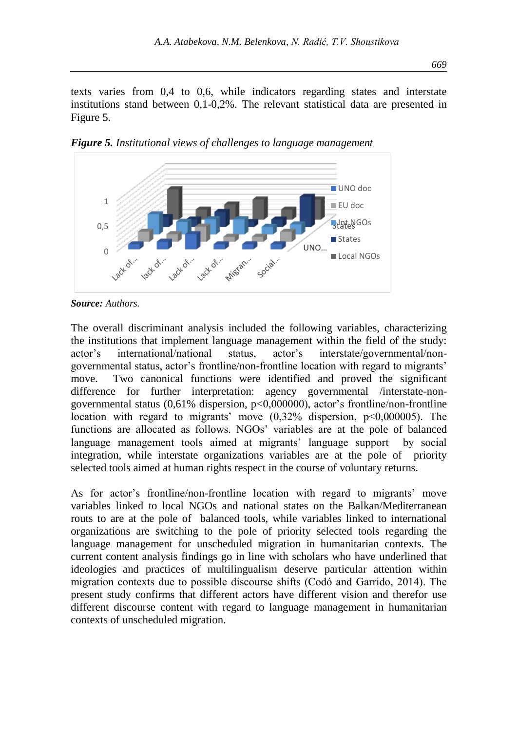texts varies from 0,4 to 0,6, while indicators regarding states and interstate institutions stand between 0,1-0,2%. The relevant statistical data are presented in Figure 5.



*Figure 5. Institutional views of challenges to language management*

The overall discriminant analysis included the following variables, characterizing the institutions that implement language management within the field of the study: actor's international/national status, actor's interstate/governmental/nongovernmental status, actor's frontline/non-frontline location with regard to migrants' move. Two canonical functions were identified and proved the significant difference for further interpretation: agency governmental /interstate-nongovernmental status  $(0.61\%$  dispersion,  $p<0.000000$ , actor's frontline/non-frontline location with regard to migrants' move (0,32% dispersion, p<0,000005). The functions are allocated as follows. NGOs' variables are at the pole of balanced language management tools aimed at migrants' language support by social integration, while interstate organizations variables are at the pole of priority selected tools aimed at human rights respect in the course of voluntary returns.

As for actor's frontline/non-frontline location with regard to migrants' move variables linked to local NGOs and national states on the Balkan/Mediterranean routs to are at the pole of balanced tools, while variables linked to international organizations are switching to the pole of priority selected tools regarding the language management for unscheduled migration in humanitarian contexts. The current content analysis findings go in line with scholars who have underlined that ideologies and practices of multilingualism deserve particular attention within migration contexts due to possible discourse shifts (Codó and Garrido, 2014). The present study confirms that different actors have different vision and therefor use different discourse content with regard to language management in humanitarian contexts of unscheduled migration.

*Source: Authors.*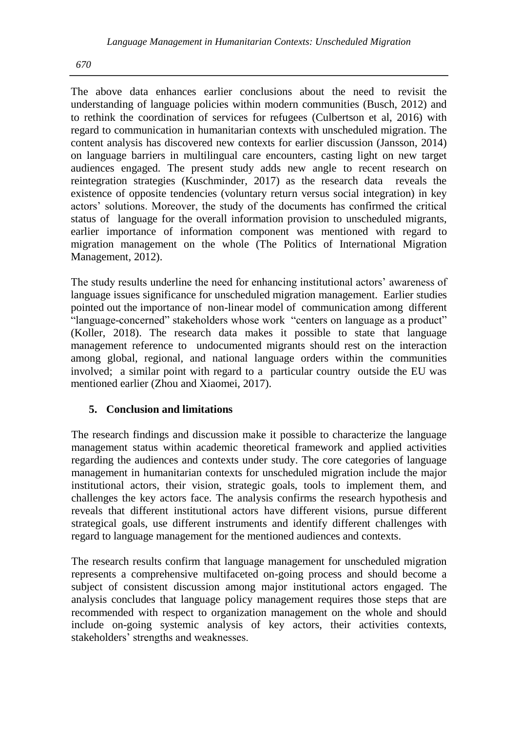The above data enhances earlier conclusions about the need to revisit the understanding of language policies within modern communities (Busch, 2012) and to rethink the coordination of services for refugees (Culbertson et al, 2016) with regard to communication in humanitarian contexts with unscheduled migration. The content analysis has discovered new contexts for earlier discussion (Jansson, 2014) on language barriers in multilingual care encounters, casting light on new target audiences engaged. The present study adds new angle to recent research on reintegration strategies (Kuschminder, 2017) as the research data reveals the existence of opposite tendencies (voluntary return versus social integration) in key actors' solutions. Moreover, the study of the documents has confirmed the critical status of language for the overall information provision to unscheduled migrants, earlier importance of information component was mentioned with regard to migration management on the whole (The Politics of International Migration Management, 2012).

The study results underline the need for enhancing institutional actors' awareness of language issues significance for unscheduled migration management. Earlier studies pointed out the importance of non-linear model of communication among different "language-concerned" stakeholders whose work "centers on language as a product" (Koller, 2018). The research data makes it possible to state that language management reference to undocumented migrants should rest on the interaction among global, regional, and national language orders within the communities involved; a similar point with regard to a particular country outside the EU was mentioned earlier (Zhou and Xiaomei, 2017).

### **5. Conclusion and limitations**

The research findings and discussion make it possible to characterize the language management status within academic theoretical framework and applied activities regarding the audiences and contexts under study. The core categories of language management in humanitarian contexts for unscheduled migration include the major institutional actors, their vision, strategic goals, tools to implement them, and challenges the key actors face. The analysis confirms the research hypothesis and reveals that different institutional actors have different visions, pursue different strategical goals, use different instruments and identify different challenges with regard to language management for the mentioned audiences and contexts.

The research results confirm that language management for unscheduled migration represents a comprehensive multifaceted on-going process and should become a subject of consistent discussion among major institutional actors engaged. The analysis concludes that language policy management requires those steps that are recommended with respect to organization management on the whole and should include on-going systemic analysis of key actors, their activities contexts, stakeholders' strengths and weaknesses.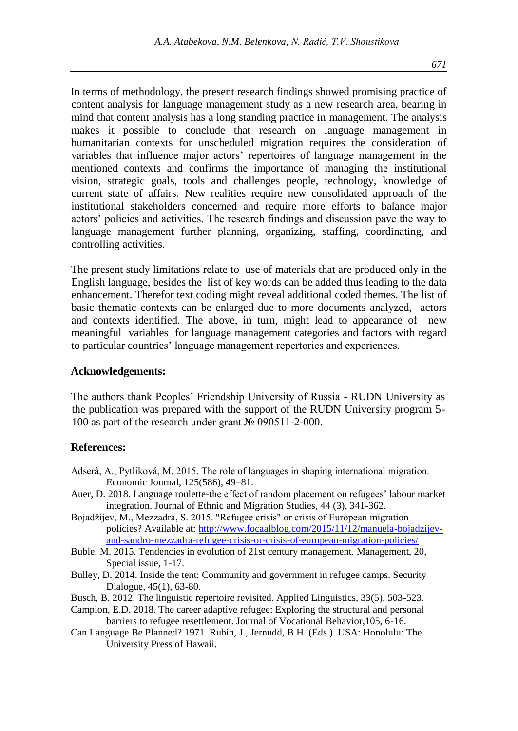In terms of methodology, the present research findings showed promising practice of content analysis for language management study as a new research area, bearing in mind that content analysis has a long standing practice in management. The analysis makes it possible to conclude that research on language management in humanitarian contexts for unscheduled migration requires the consideration of variables that influence major actors' repertoires of language management in the mentioned contexts and confirms the importance of managing the institutional vision, strategic goals, tools and challenges people, technology, knowledge of current state of affairs. New realities require new consolidated approach of the institutional stakeholders concerned and require more efforts to balance major actors' policies and activities. The research findings and discussion pave the way to language management further planning, organizing, staffing, coordinating, and controlling activities.

The present study limitations relate to use of materials that are produced only in the English language, besides the list of key words can be added thus leading to the data enhancement. Therefor text coding might reveal additional coded themes. The list of basic thematic contexts can be enlarged due to more documents analyzed, actors and contexts identified. The above, in turn, might lead to appearance of new meaningful variables for language management categories and factors with regard to particular countries' language management repertories and experiences.

#### **Acknowledgements:**

The authors thank Peoples' Friendship University of Russia - RUDN University as the publication was prepared with the support of the RUDN University program 5- 100 as part of the research under grant № 090511-2-000.

#### **References:**

- Adserà, A., Pytliková, M. 2015. The role of languages in shaping international migration. Economic Journal, 125(586), 49–81.
- Auer, D. 2018. Language roulette-the effect of random placement on refugees' labour market integration. Journal of Ethnic and Migration Studies, 44 (3), 341-362.
- Bojadžijev, M., Mezzadra, S. 2015. "Refugee crisis" or crisis of European migration policies? Available at: [http://www.focaalblog.com/2015/11/12/manuela-bojadzijev](http://www.focaalblog.com/2015/11/12/manuela-bojadzijev-and-sandro-mezzadra-refugee-crisis-or-crisis-of-european-migration-policies/)[and-sandro-mezzadra-refugee-crisis-or-crisis-of-european-migration-policies/](http://www.focaalblog.com/2015/11/12/manuela-bojadzijev-and-sandro-mezzadra-refugee-crisis-or-crisis-of-european-migration-policies/)
- Buble, M. 2015. Tendencies in evolution of 21st century management. Management, 20, Special issue, 1-17.
- Bulley, D. 2014. Inside the tent: Community and government in refugee camps. Security Dialogue, 45(1), 63-80.
- Busch, B. 2012. The linguistic repertoire revisited. Applied Linguistics, 33(5), 503-523.
- Campion, E.D. 2018. The career adaptive refugee: Exploring the structural and personal barriers to refugee resettlement. Journal of Vocational Behavior,105, 6-16.
- Can Language Be Planned? 1971. Rubin, J., Jernudd, B.H. (Eds.). USA: Honolulu: The University Press of Hawaii.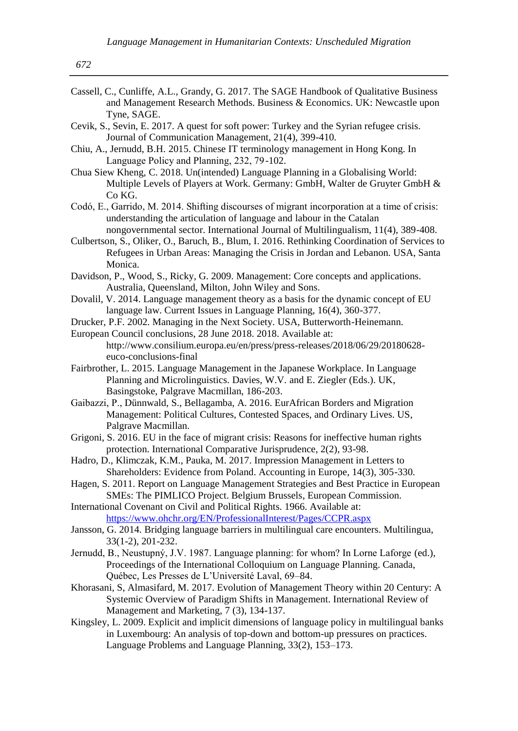- Cassell, C., Cunliffe, A.L., Grandy, G. 2017. The SAGE Handbook of Qualitative Business and Management Research Methods. Business & Economics. UK: Newcastle upon Tyne, SAGE.
- Cevik, S., Sevin, E. 2017. A quest for soft power: Turkey and the Syrian refugee crisis. Journal of Communication Management, 21(4), 399-410.
- Chiu, A., Jernudd, B.H. 2015. Chinese IT terminology management in Hong Kong. In Language Policy and Planning, 232, 79 -102.
- Chua Siew Kheng, C. 2018. Un(intended) Language Planning in a Globalising World: Multiple Levels of Players at Work. Germany: GmbH, Walter de Gruyter GmbH & Co KG.
- Codó, E., Garrido, M. 2014. Shifting discourses of migrant incorporation at a time of crisis: understanding the articulation of language and labour in the Catalan nongovernmental sector. International Journal of Multilingualism, 11(4), 389-408.
- Culbertson, S., Oliker, O., Baruch, B., Blum, I. 2016. Rethinking Coordination of Services to Refugees in Urban Areas: Managing the Crisis in Jordan and Lebanon. USA, Santa Monica.
- Davidson, P., Wood, S., Ricky, G. 2009. Management: Core concepts and applications. Australia, Queensland, Milton, John Wiley and Sons.
- Dovalil, V. 2014. Language management theory as a basis for the dynamic concept of EU language law. Current Issues in Language Planning, 16(4), 360-377.
- Drucker, P.F. 2002. Managing in the Next Society. USA, Butterworth-Heinemann.
- European Council conclusions, 28 June 2018. 2018. Available at: http://www.consilium.europa.eu/en/press/press-releases/2018/06/29/20180628 euco-conclusions-final
- Fairbrother, L. 2015. Language Management in the Japanese Workplace. In Language Planning and Microlinguistics. Davies, W.V. and E. Ziegler (Eds.). UK, Basingstoke, Palgrave Macmillan, 186-203.
- Gaibazzi, P., Dünnwald, S., Bellagamba, A. 2016. EurAfrican Borders and Migration Management: Political Cultures, Contested Spaces, and Ordinary Lives. US, Palgrave Macmillan.
- Grigoni, S. 2016. EU in the face of migrant crisis: Reasons for ineffective human rights protection. International Comparative Jurisprudence, 2(2), 93-98.
- Hadro, D., Klimczak, K.M., Pauka, M. 2017. Impression Management in Letters to Shareholders: Evidence from Poland. Accounting in Europe, 14(3), 305-330.
- Hagen, S. 2011. Report on Language Management Strategies and Best Practice in European SMEs: The PIMLICO Project. Belgium Brussels, European Commission.
- International Covenant on Civil and Political Rights. 1966. Available at: <https://www.ohchr.org/EN/ProfessionalInterest/Pages/CCPR.aspx>
- Jansson, G. 2014. Bridging language barriers in multilingual care encounters. Multilingua, 33(1-2), 201-232.
- Jernudd, B., Neustupný, J.V. 1987. Language planning: for whom? In Lorne Laforge (ed.), Proceedings of the International Colloquium on Language Planning. Canada, Québec, Les Presses de L'Université Laval, 69–84.
- Khorasani, S, Almasifard, M. 2017. Evolution of Management Theory within 20 Century: A Systemic Overview of Paradigm Shifts in Management. International Review of Management and Marketing, 7 (3), 134-137.
- Kingsley, L. 2009. Explicit and implicit dimensions of language policy in multilingual banks in Luxembourg: An analysis of top-down and bottom-up pressures on practices. Language Problems and Language Planning, 33(2), 153–173.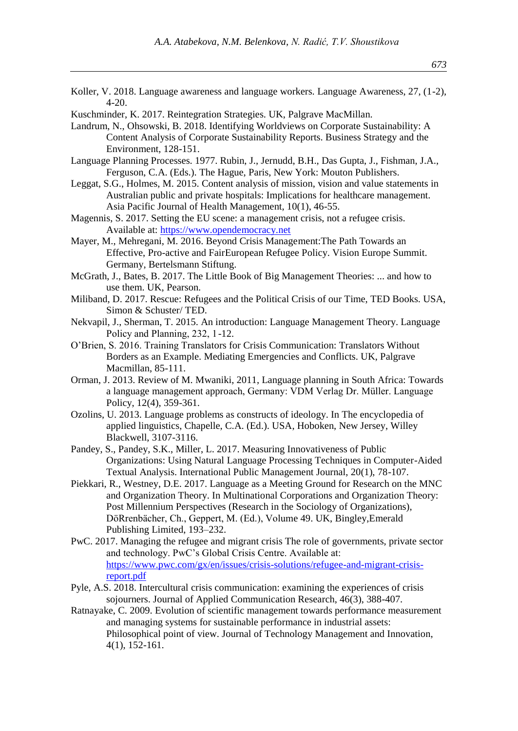- Koller, V. 2018. Language awareness and language workers. Language Awareness, 27, (1-2), 4-20.
- Kuschminder, K. 2017. Reintegration Strategies. UK, Palgrave MacMillan.
- Landrum, N., Ohsowski, B. 2018. Identifying Worldviews on Corporate Sustainability: A Content Analysis of Corporate Sustainability Reports. Business Strategy and the Environment, 128-151.

Language Planning Processes. 1977. Rubin, J., Jernudd, B.H., Das Gupta, J., Fishman, J.A., Ferguson, C.A. (Eds.). The Hague, Paris, New York: Mouton Publishers.

- Leggat, S.G., Holmes, M. 2015. Content analysis of mission, vision and value statements in Australian public and private hospitals: Implications for healthcare management. Asia Pacific Journal of Health Management, 10(1), 46-55.
- Magennis, S. 2017. Setting the EU scene: a management crisis, not a refugee crisis. Available at: [https://www.opendemocracy.net](https://www.opendemocracy.net/)
- Mayer, M., Mehregani, M. 2016. Beyond Crisis Management:The Path Towards an Effective, Pro-active and FairEuropean Refugee Policy. Vision Europe Summit. Germany, Bertelsmann Stiftung.
- McGrath, J., Bates, B. 2017. The Little Book of Big Management Theories: ... and how to use them. UK, Pearson.
- Miliband, D. 2017. Rescue: Refugees and the Political Crisis of our Time, TED Books. USA, Simon & Schuster/ TED.
- Nekvapil, J., Sherman, T. 2015. An introduction: Language Management Theory. Language Policy and Planning, 232, 1-12.
- O'Brien, S. 2016. Training Translators for Crisis Communication: Translators Without Borders as an Example. Mediating Emergencies and Conflicts. UK, Palgrave Macmillan, 85-111.
- Orman, J. 2013. Review of M. Mwaniki, 2011, Language planning in South Africa: Towards a language management approach, Germany: VDM Verlag Dr. Müller. Language Policy, 12(4), 359-361.
- Ozolins, U. 2013. Language problems as constructs of ideology. In The encyclopedia of applied linguistics, Chapelle, C.A. (Ed.). USA, Hoboken, New Jersey, Willey Blackwell, 3107-3116.
- Pandey, S., Pandey, S.K., Miller, L. 2017. Measuring Innovativeness of Public Organizations: Using Natural Language Processing Techniques in Computer-Aided Textual Analysis. International Public Management Journal, 20(1), 78-107.
- Piekkari, R., Westney, D.E. 2017. Language as a Meeting Ground for Research on the MNC and Organization Theory. In Multinational Corporations and Organization Theory: Post Millennium Perspectives (Research in the Sociology of Organizations), DöRrenbächer, Ch., Geppert, M. (Ed.), Volume 49. UK, Bingley,Emerald Publishing Limited, 193–232.
- PwC. 2017. Managing the refugee and migrant crisis The role of governments, private sector and technology. PwC's Global Crisis Centre. Available at: [https://www.pwc.com/gx/en/issues/crisis-solutions/refugee-and-migrant-crisis](https://www.pwc.com/gx/en/issues/crisis-solutions/refugee-and-migrant-crisis-report.pdf)[report.pdf](https://www.pwc.com/gx/en/issues/crisis-solutions/refugee-and-migrant-crisis-report.pdf)
- Pyle, A.S. 2018. Intercultural crisis communication: examining the experiences of crisis sojourners. Journal of Applied Communication Research, 46(3), 388-407.
- Ratnayake, C. 2009. Evolution of scientific management towards performance measurement and managing systems for sustainable performance in industrial assets: Philosophical point of view. Journal of Technology Management and Innovation, 4(1), 152-161.